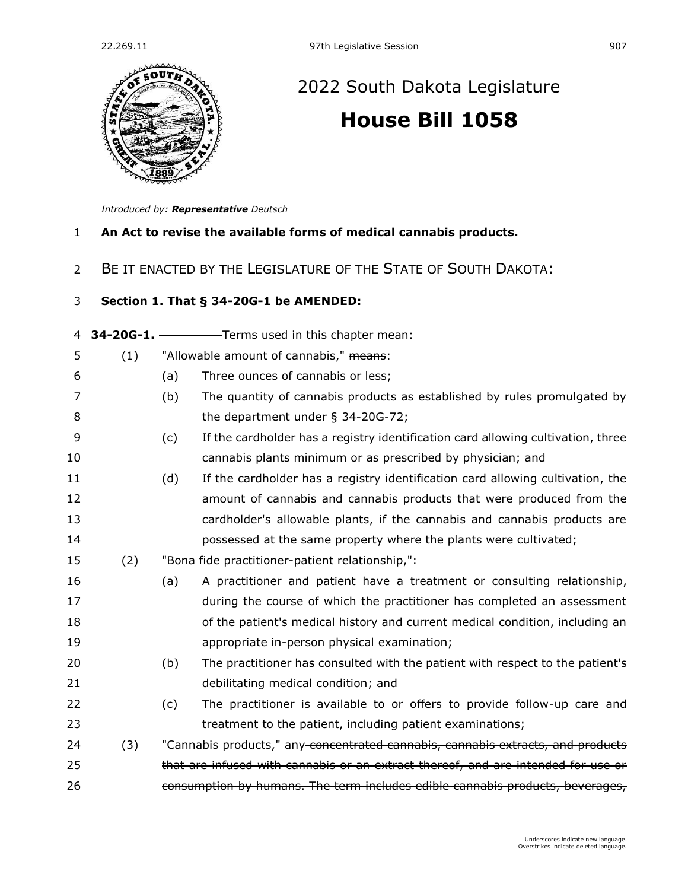

## [2022 South Dakota Legislature](https://sdlegislature.gov/Session/Bills/64) **[House Bill 1058](https://sdlegislature.gov/Session/Bill/22827)**

*Introduced by: Representative [Deutsch](https://sdlegislature.gov/Legislators/Profile/3931/Detail)*

- **An Act to revise the available forms of medical cannabis products.**
- BE IT ENACTED BY THE LEGISLATURE OF THE STATE OF SOUTH DAKOTA:

## **Section 1. [That § 34-20G-1 be AMENDED:](https://sdlegislature.gov/Statutes?Statute=34-20G-1)**

## **[34-20G-1.](https://sdlegislature.gov/Statutes?Statute=34-20G-1)** Terms used in this chapter mean: 5 (1) "Allowable amount of cannabis," means: (a) Three ounces of cannabis or less; (b) The quantity of cannabis products as established by rules promulgated by 8 the department under § [34-20G-72;](https://sdlegislature.gov/Statutes?Statute=34-20G-72) (c) If the cardholder has a registry identification card allowing cultivation, three cannabis plants minimum or as prescribed by physician; and (d) If the cardholder has a registry identification card allowing cultivation, the amount of cannabis and cannabis products that were produced from the cardholder's allowable plants, if the cannabis and cannabis products are possessed at the same property where the plants were cultivated; (2) "Bona fide practitioner-patient relationship,": (a) A practitioner and patient have a treatment or consulting relationship, during the course of which the practitioner has completed an assessment of the patient's medical history and current medical condition, including an appropriate in-person physical examination; (b) The practitioner has consulted with the patient with respect to the patient's debilitating medical condition; and (c) The practitioner is available to or offers to provide follow-up care and treatment to the patient, including patient examinations; 24 (3) "Cannabis products," any concentrated cannabis, cannabis extracts, and products 25 that are infused with cannabis or an extract thereof, and are intended for use or consumption by humans. The term includes edible cannabis products, beverages,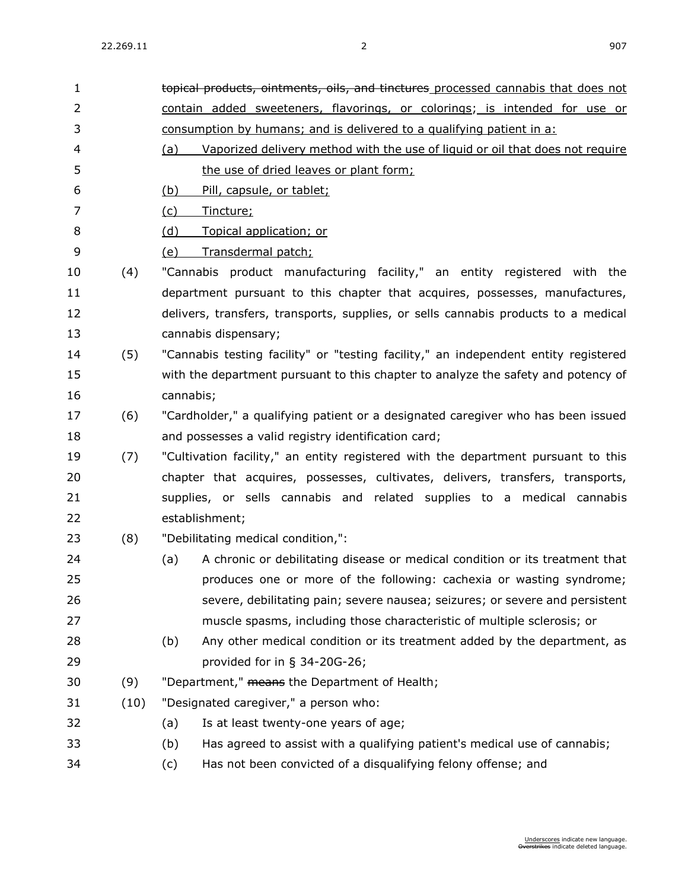| $\mathbf{1}$   |      | topical products, ointments, oils, and tinctures processed cannabis that does not    |
|----------------|------|--------------------------------------------------------------------------------------|
| 2              |      | contain added sweeteners, flavorings, or colorings; is intended for use or           |
| 3              |      | consumption by humans; and is delivered to a qualifying patient in a:                |
| 4              |      | Vaporized delivery method with the use of liquid or oil that does not require<br>(a) |
| 5              |      | the use of dried leaves or plant form;                                               |
| 6              |      | Pill, capsule, or tablet;<br><u>(b)</u>                                              |
| $\overline{7}$ |      | (c)<br>Tincture;                                                                     |
| 8              |      | Topical application; or<br>(d)                                                       |
| 9              |      | Transdermal patch;<br><u>(e)</u>                                                     |
| 10             | (4)  | "Cannabis product manufacturing facility," an entity registered with the             |
| 11             |      | department pursuant to this chapter that acquires, possesses, manufactures,          |
| 12             |      | delivers, transfers, transports, supplies, or sells cannabis products to a medical   |
| 13             |      | cannabis dispensary;                                                                 |
| 14             | (5)  | "Cannabis testing facility" or "testing facility," an independent entity registered  |
| 15             |      | with the department pursuant to this chapter to analyze the safety and potency of    |
| 16             |      | cannabis;                                                                            |
| 17             | (6)  | "Cardholder," a qualifying patient or a designated caregiver who has been issued     |
| 18             |      | and possesses a valid registry identification card;                                  |
| 19             | (7)  | "Cultivation facility," an entity registered with the department pursuant to this    |
| 20             |      | chapter that acquires, possesses, cultivates, delivers, transfers, transports,       |
| 21             |      | supplies, or sells cannabis and related supplies to a medical cannabis               |
| 22             |      | establishment;                                                                       |
| 23             | (8)  | "Debilitating medical condition,":                                                   |
| 24             |      | A chronic or debilitating disease or medical condition or its treatment that<br>(a)  |
| 25             |      | produces one or more of the following: cachexia or wasting syndrome;                 |
| 26             |      | severe, debilitating pain; severe nausea; seizures; or severe and persistent         |
| 27             |      | muscle spasms, including those characteristic of multiple sclerosis; or              |
| 28             |      | (b)<br>Any other medical condition or its treatment added by the department, as      |
| 29             |      | provided for in $\S$ 34-20G-26;                                                      |
| 30             | (9)  | "Department," means the Department of Health;                                        |
| 31             | (10) | "Designated caregiver," a person who:                                                |
| 32             |      | (a)<br>Is at least twenty-one years of age;                                          |
| 33             |      | Has agreed to assist with a qualifying patient's medical use of cannabis;<br>(b)     |
| 34             |      | Has not been convicted of a disqualifying felony offense; and<br>(c)                 |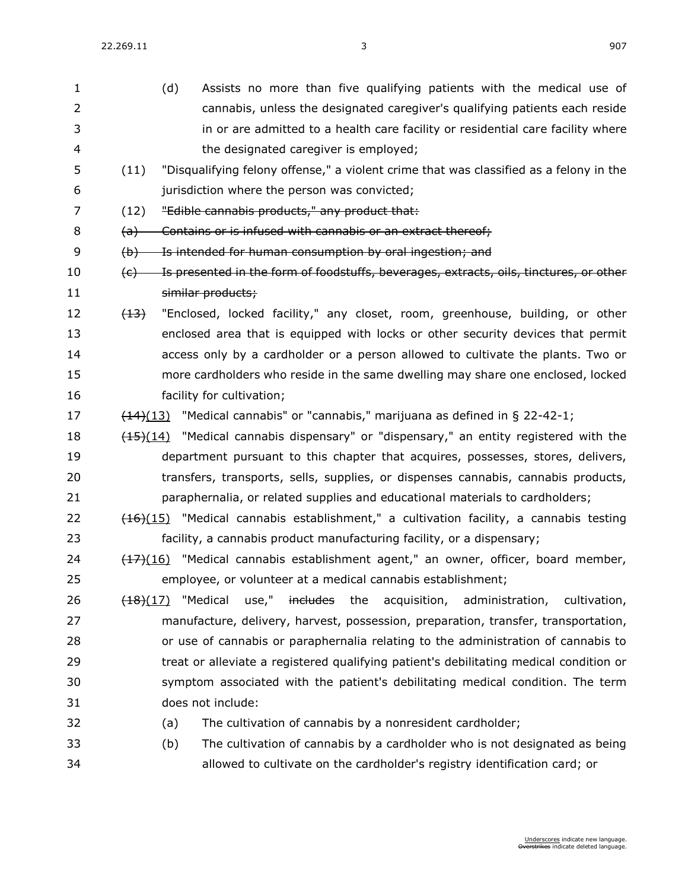22.269.11 3 907

| 1  |                           | (d) | Assists no more than five qualifying patients with the medical use of                            |
|----|---------------------------|-----|--------------------------------------------------------------------------------------------------|
| 2  |                           |     | cannabis, unless the designated caregiver's qualifying patients each reside                      |
| 3  |                           |     | in or are admitted to a health care facility or residential care facility where                  |
| 4  |                           |     | the designated caregiver is employed;                                                            |
| 5  | (11)                      |     | "Disqualifying felony offense," a violent crime that was classified as a felony in the           |
| 6  |                           |     | jurisdiction where the person was convicted;                                                     |
| 7  | (12)                      |     | "Edible cannabis products," any product that:                                                    |
| 8  | $\left(\mathrm{a}\right)$ |     | Contains or is infused with cannabis or an extract thereof;                                      |
| 9  | $\Theta$                  |     | Is intended for human consumption by oral ingestion; and                                         |
| 10 | (e)                       |     | Is presented in the form of foodstuffs, beverages, extracts, oils, tinctures, or other           |
| 11 |                           |     | similar products;                                                                                |
| 12 | (13)                      |     | "Enclosed, locked facility," any closet, room, greenhouse, building, or other                    |
| 13 |                           |     | enclosed area that is equipped with locks or other security devices that permit                  |
| 14 |                           |     | access only by a cardholder or a person allowed to cultivate the plants. Two or                  |
| 15 |                           |     | more cardholders who reside in the same dwelling may share one enclosed, locked                  |
| 16 |                           |     | facility for cultivation;                                                                        |
| 17 |                           |     | $\frac{(14)(13)}{(14)(13)}$ "Medical cannabis" or "cannabis," marijuana as defined in § 22-42-1; |
| 18 |                           |     | $(15)(14)$ "Medical cannabis dispensary" or "dispensary," an entity registered with the          |
| 19 |                           |     | department pursuant to this chapter that acquires, possesses, stores, delivers,                  |
| 20 |                           |     | transfers, transports, sells, supplies, or dispenses cannabis, cannabis products,                |
| 21 |                           |     | paraphernalia, or related supplies and educational materials to cardholders;                     |
| 22 |                           |     | $(16)(15)$ "Medical cannabis establishment," a cultivation facility, a cannabis testing          |
| 23 |                           |     | facility, a cannabis product manufacturing facility, or a dispensary;                            |
| 24 |                           |     | $(17)(16)$ "Medical cannabis establishment agent," an owner, officer, board member,              |
| 25 |                           |     | employee, or volunteer at a medical cannabis establishment;                                      |
| 26 | <del>(18)</del> (17)      |     | "Medical<br>use," includes the acquisition, administration, cultivation,                         |
| 27 |                           |     | manufacture, delivery, harvest, possession, preparation, transfer, transportation,               |
| 28 |                           |     | or use of cannabis or paraphernalia relating to the administration of cannabis to                |
| 29 |                           |     | treat or alleviate a registered qualifying patient's debilitating medical condition or           |
| 30 |                           |     | symptom associated with the patient's debilitating medical condition. The term                   |
| 31 |                           |     | does not include:                                                                                |
| 32 |                           | (a) | The cultivation of cannabis by a nonresident cardholder;                                         |
| 33 |                           | (b) | The cultivation of cannabis by a cardholder who is not designated as being                       |
| 34 |                           |     | allowed to cultivate on the cardholder's registry identification card; or                        |
|    |                           |     |                                                                                                  |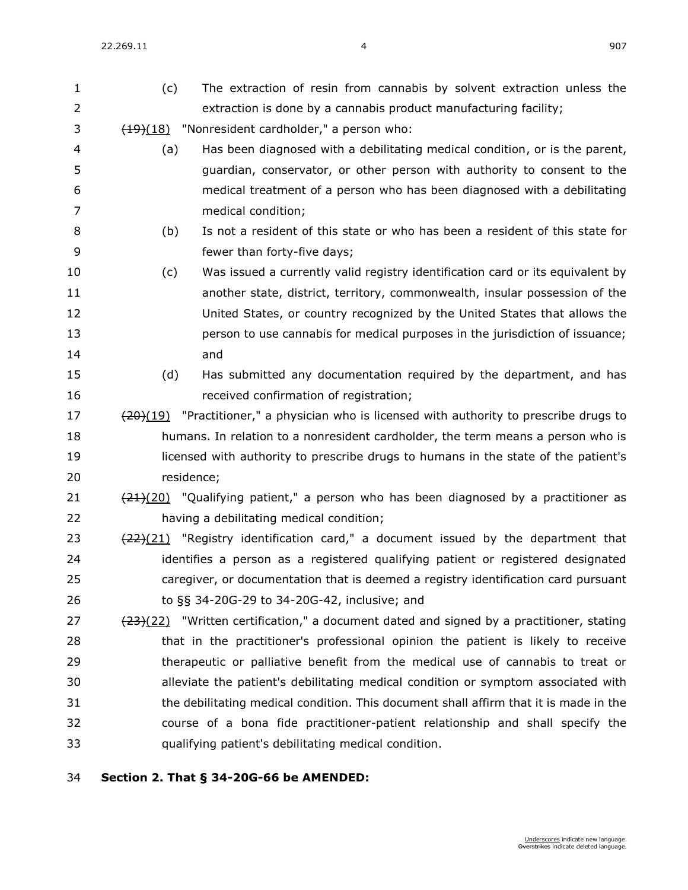22.269.11 4 907

 (c) The extraction of resin from cannabis by solvent extraction unless the extraction is done by a cannabis product manufacturing facility;  $\frac{(19)(18)}{190}$  "Nonresident cardholder," a person who: (a) Has been diagnosed with a debilitating medical condition, or is the parent, guardian, conservator, or other person with authority to consent to the medical treatment of a person who has been diagnosed with a debilitating medical condition; (b) Is not a resident of this state or who has been a resident of this state for fewer than forty-five days; (c) Was issued a currently valid registry identification card or its equivalent by another state, district, territory, commonwealth, insular possession of the United States, or country recognized by the United States that allows the person to use cannabis for medical purposes in the jurisdiction of issuance; and (d) Has submitted any documentation required by the department, and has received confirmation of registration; (20)(19) "Practitioner," a physician who is licensed with authority to prescribe drugs to humans. In relation to a nonresident cardholder, the term means a person who is licensed with authority to prescribe drugs to humans in the state of the patient's residence;  $(21)(20)$  "Qualifying patient," a person who has been diagnosed by a practitioner as having a debilitating medical condition;  $(22)(21)$  "Registry identification card," a document issued by the department that identifies a person as a registered qualifying patient or registered designated caregiver, or documentation that is deemed a registry identification card pursuant to §§ [34-20G-29](https://sdlegislature.gov/Statutes?Statute=34-20G-29) to [34-20G-42,](https://sdlegislature.gov/Statutes?Statute=34-20G-42) inclusive; and  $(23)(22)$  "Written certification," a document dated and signed by a practitioner, stating that in the practitioner's professional opinion the patient is likely to receive therapeutic or palliative benefit from the medical use of cannabis to treat or alleviate the patient's debilitating medical condition or symptom associated with the debilitating medical condition. This document shall affirm that it is made in the course of a bona fide practitioner-patient relationship and shall specify the qualifying patient's debilitating medical condition.

## **Section 2. [That § 34-20G-66 be AMENDED:](https://sdlegislature.gov/Statutes?Statute=34-20G-66)**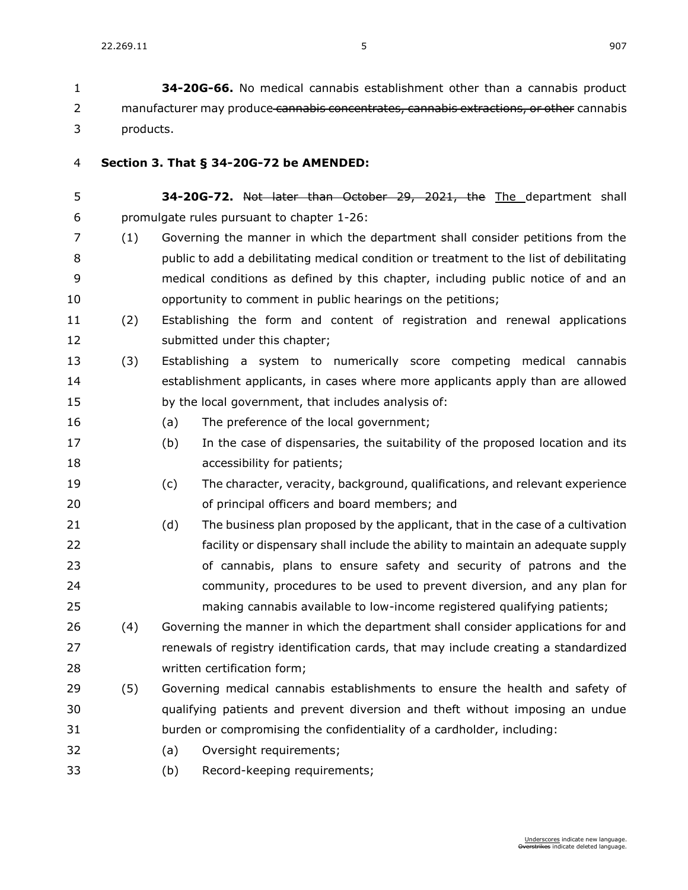**[34-20G-66.](https://sdlegislature.gov/Statutes?Statute=34-20G-66)** No medical cannabis establishment other than a cannabis product 2 manufacturer may produce cannabis concentrates, cannabis extractions, or other cannabis products.

- **Section 3. [That § 34-20G-72 be AMENDED:](https://sdlegislature.gov/Statutes?Statute=34-20G-72)**
- **[34-20G-72.](https://sdlegislature.gov/Statutes?Statute=34-20G-72)** Not later than October 29, 2021, the The department shall promulgate rules pursuant to chapter [1-26:](https://sdlegislature.gov/Statutes?Statute=1-26)
- (1) Governing the manner in which the department shall consider petitions from the public to add a debilitating medical condition or treatment to the list of debilitating medical conditions as defined by this chapter, including public notice of and an opportunity to comment in public hearings on the petitions;
- (2) Establishing the form and content of registration and renewal applications 12 submitted under this chapter;
- (3) Establishing a system to numerically score competing medical cannabis establishment applicants, in cases where more applicants apply than are allowed by the local government, that includes analysis of:
- (a) The preference of the local government;
- (b) In the case of dispensaries, the suitability of the proposed location and its **accessibility for patients;**
- (c) The character, veracity, background, qualifications, and relevant experience of principal officers and board members; and
- (d) The business plan proposed by the applicant, that in the case of a cultivation facility or dispensary shall include the ability to maintain an adequate supply of cannabis, plans to ensure safety and security of patrons and the community, procedures to be used to prevent diversion, and any plan for making cannabis available to low-income registered qualifying patients;
- 26 (4) Governing the manner in which the department shall consider applications for and renewals of registry identification cards, that may include creating a standardized written certification form;
- (5) Governing medical cannabis establishments to ensure the health and safety of qualifying patients and prevent diversion and theft without imposing an undue burden or compromising the confidentiality of a cardholder, including:
- (a) Oversight requirements;
- (b) Record-keeping requirements;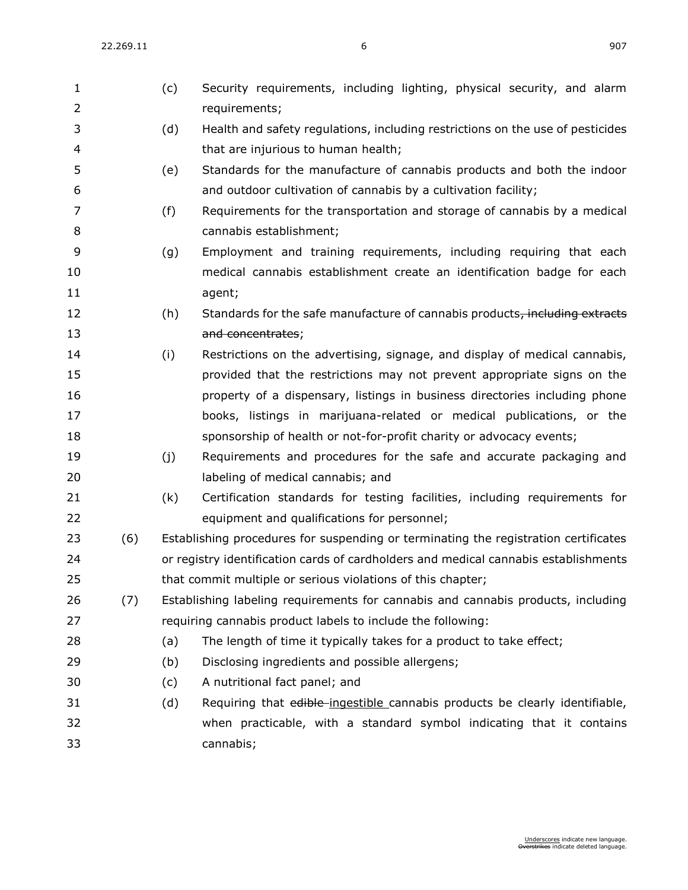| $\mathbf{1}$   |     | (c) | Security requirements, including lighting, physical security, and alarm                 |
|----------------|-----|-----|-----------------------------------------------------------------------------------------|
| $\overline{2}$ |     |     | requirements;                                                                           |
| 3              |     | (d) | Health and safety regulations, including restrictions on the use of pesticides          |
| $\overline{4}$ |     |     | that are injurious to human health;                                                     |
| 5              |     | (e) | Standards for the manufacture of cannabis products and both the indoor                  |
| 6              |     |     | and outdoor cultivation of cannabis by a cultivation facility;                          |
| $\overline{7}$ |     | (f) | Requirements for the transportation and storage of cannabis by a medical                |
| $\, 8$         |     |     | cannabis establishment;                                                                 |
| 9              |     | (g) | Employment and training requirements, including requiring that each                     |
| 10             |     |     | medical cannabis establishment create an identification badge for each                  |
| 11             |     |     | agent;                                                                                  |
| 12             |     | (h) | Standards for the safe manufacture of cannabis products <sub>7</sub> including extracts |
| 13             |     |     | and concentrates;                                                                       |
| 14             |     | (i) | Restrictions on the advertising, signage, and display of medical cannabis,              |
| 15             |     |     | provided that the restrictions may not prevent appropriate signs on the                 |
| 16             |     |     | property of a dispensary, listings in business directories including phone              |
| 17             |     |     | books, listings in marijuana-related or medical publications, or the                    |
| 18             |     |     | sponsorship of health or not-for-profit charity or advocacy events;                     |
| 19             |     | (i) | Requirements and procedures for the safe and accurate packaging and                     |
| 20             |     |     | labeling of medical cannabis; and                                                       |
| 21             |     | (k) | Certification standards for testing facilities, including requirements for              |
| 22             |     |     | equipment and qualifications for personnel;                                             |
| 23             | (6) |     | Establishing procedures for suspending or terminating the registration certificates     |
| 24             |     |     | or registry identification cards of cardholders and medical cannabis establishments     |
| 25             |     |     | that commit multiple or serious violations of this chapter;                             |
| 26             | (7) |     | Establishing labeling requirements for cannabis and cannabis products, including        |
| 27             |     |     | requiring cannabis product labels to include the following:                             |
| 28             |     | (a) | The length of time it typically takes for a product to take effect;                     |
| 29             |     | (b) | Disclosing ingredients and possible allergens;                                          |
| 30             |     | (c) | A nutritional fact panel; and                                                           |
| 31             |     | (d) | Requiring that edible-ingestible cannabis products be clearly identifiable,             |
| 32             |     |     | when practicable, with a standard symbol indicating that it contains                    |
| 33             |     |     | cannabis;                                                                               |
|                |     |     |                                                                                         |